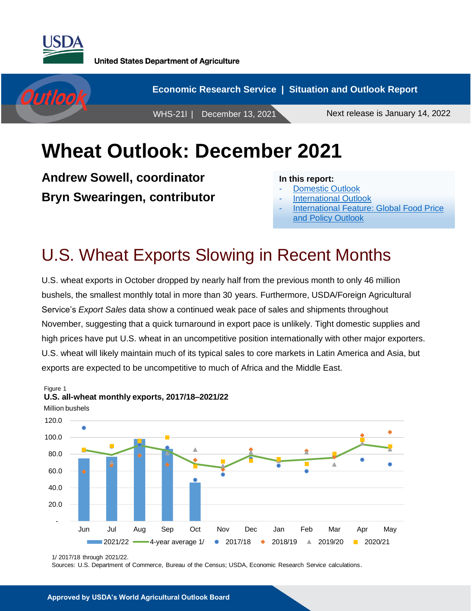



# **Wheat Outlook: December 2021**

**Andrew Sowell, coordinator Bryn Swearingen, contributor**

#### **In this report:**

- [Domestic Outlook](#page-1-0)
- **[International Outlook](#page-4-0)**
- International [Feature: Global Food Price](#page-8-0) [and Policy Outlook](#page-8-0)

## U.S. Wheat Exports Slowing in Recent Months

U.S. wheat exports in October dropped by nearly half from the previous month to only 46 million bushels, the smallest monthly total in more than 30 years. Furthermore, USDA/Foreign Agricultural Service's *Export Sales* data show a continued weak pace of sales and shipments throughout November, suggesting that a quick turnaround in export pace is unlikely. Tight domestic supplies and high prices have put U.S. wheat in an uncompetitive position internationally with other major exporters. U.S. wheat will likely maintain much of its typical sales to core markets in Latin America and Asia, but exports are expected to be uncompetitive to much of Africa and the Middle East.



**U.S. all-wheat monthly exports, 2017/18–2021/22**

Figure 1

Sources: U.S. Department of Commerce, Bureau of the Census; USDA, Economic Research Service calculations.

<sup>1/ 2017/18</sup> through 2021/22.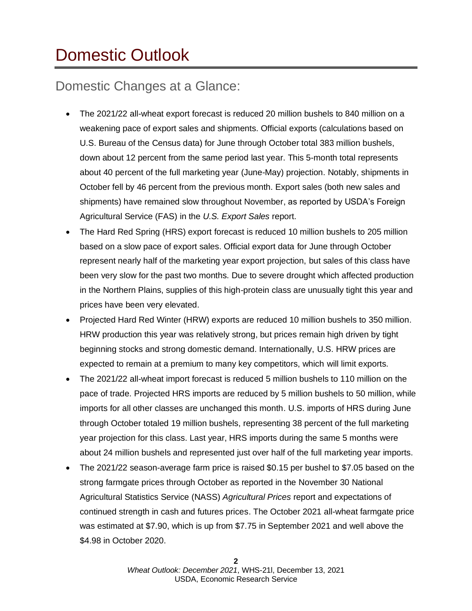# <span id="page-1-0"></span>Domestic Outlook

### Domestic Changes at a Glance:

- The 2021/22 all-wheat export forecast is reduced 20 million bushels to 840 million on a weakening pace of export sales and shipments. Official exports (calculations based on U.S. Bureau of the Census data) for June through October total 383 million bushels, down about 12 percent from the same period last year. This 5-month total represents about 40 percent of the full marketing year (June-May) projection. Notably, shipments in October fell by 46 percent from the previous month. Export sales (both new sales and shipments) have remained slow throughout November, as reported by USDA's Foreign Agricultural Service (FAS) in the *U.S. Export Sales* report.
- The Hard Red Spring (HRS) export forecast is reduced 10 million bushels to 205 million based on a slow pace of export sales. Official export data for June through October represent nearly half of the marketing year export projection, but sales of this class have been very slow for the past two months. Due to severe drought which affected production in the Northern Plains, supplies of this high-protein class are unusually tight this year and prices have been very elevated.
- Projected Hard Red Winter (HRW) exports are reduced 10 million bushels to 350 million. HRW production this year was relatively strong, but prices remain high driven by tight beginning stocks and strong domestic demand. Internationally, U.S. HRW prices are expected to remain at a premium to many key competitors, which will limit exports.
- The 2021/22 all-wheat import forecast is reduced 5 million bushels to 110 million on the pace of trade. Projected HRS imports are reduced by 5 million bushels to 50 million, while imports for all other classes are unchanged this month. U.S. imports of HRS during June through October totaled 19 million bushels, representing 38 percent of the full marketing year projection for this class. Last year, HRS imports during the same 5 months were about 24 million bushels and represented just over half of the full marketing year imports.
- The 2021/22 season-average farm price is raised \$0.15 per bushel to \$7.05 based on the strong farmgate prices through October as reported in the November 30 National Agricultural Statistics Service (NASS) *Agricultural Prices* report and expectations of continued strength in cash and futures prices. The October 2021 all-wheat farmgate price was estimated at \$7.90, which is up from \$7.75 in September 2021 and well above the \$4.98 in October 2020.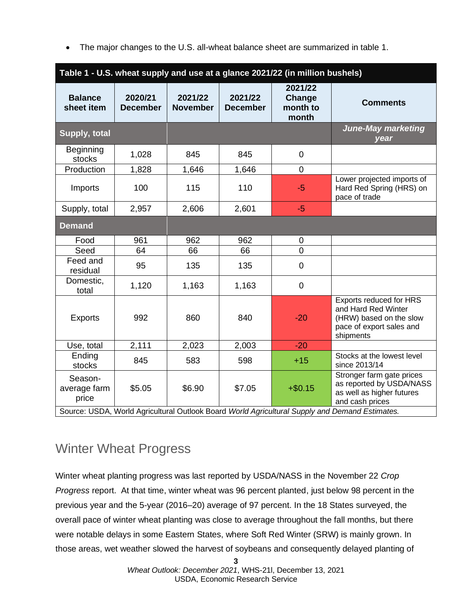• The major changes to the U.S. all-wheat balance sheet are summarized in table 1.

| Table 1 - U.S. wheat supply and use at a glance 2021/22 (in million bushels)                   |                            |                            |                            |                                        |                                                                                                                    |  |
|------------------------------------------------------------------------------------------------|----------------------------|----------------------------|----------------------------|----------------------------------------|--------------------------------------------------------------------------------------------------------------------|--|
| <b>Balance</b><br>sheet item                                                                   | 2020/21<br><b>December</b> | 2021/22<br><b>November</b> | 2021/22<br><b>December</b> | 2021/22<br>Change<br>month to<br>month | <b>Comments</b>                                                                                                    |  |
| Supply, total                                                                                  |                            |                            |                            |                                        | <b>June-May marketing</b><br>year                                                                                  |  |
| Beginning<br>stocks                                                                            | 1,028                      | 845                        | 845                        | $\boldsymbol{0}$                       |                                                                                                                    |  |
| Production                                                                                     | 1,828                      | 1,646                      | 1,646                      | $\overline{0}$                         |                                                                                                                    |  |
| Imports                                                                                        | 100                        | 115                        | 110                        | $-5$                                   | Lower projected imports of<br>Hard Red Spring (HRS) on<br>pace of trade                                            |  |
| Supply, total                                                                                  | 2,957                      | 2,606                      | 2,601                      | $-5$                                   |                                                                                                                    |  |
| <b>Demand</b>                                                                                  |                            |                            |                            |                                        |                                                                                                                    |  |
| Food                                                                                           | 961                        | 962                        | 962                        | $\mathbf 0$                            |                                                                                                                    |  |
| Seed                                                                                           | 64                         | 66                         | 66                         | $\overline{0}$                         |                                                                                                                    |  |
| Feed and<br>residual                                                                           | 95                         | 135                        | 135                        | $\mathbf 0$                            |                                                                                                                    |  |
| Domestic,<br>total                                                                             | 1,120                      | 1,163                      | 1,163                      | $\boldsymbol{0}$                       |                                                                                                                    |  |
| <b>Exports</b>                                                                                 | 992                        | 860                        | 840                        | $-20$                                  | Exports reduced for HRS<br>and Hard Red Winter<br>(HRW) based on the slow<br>pace of export sales and<br>shipments |  |
| Use, total                                                                                     | 2,111                      | 2,023                      | 2,003                      | $-20$                                  |                                                                                                                    |  |
| Ending<br>stocks                                                                               | 845                        | 583                        | 598                        | $+15$                                  | Stocks at the lowest level<br>since 2013/14                                                                        |  |
| Season-<br>average farm<br>price                                                               | \$5.05                     | \$6.90                     | \$7.05                     | $+ $0.15$                              | Stronger farm gate prices<br>as reported by USDA/NASS<br>as well as higher futures<br>and cash prices              |  |
| Source: USDA, World Agricultural Outlook Board World Agricultural Supply and Demand Estimates. |                            |                            |                            |                                        |                                                                                                                    |  |

### Winter Wheat Progress

Winter wheat planting progress was last reported by USDA/NASS in the November 22 *Crop Progress* report. At that time, winter wheat was 96 percent planted, just below 98 percent in the previous year and the 5-year (2016–20) average of 97 percent. In the 18 States surveyed, the overall pace of winter wheat planting was close to average throughout the fall months, but there were notable delays in some Eastern States, where Soft Red Winter (SRW) is mainly grown. In those areas, wet weather slowed the harvest of soybeans and consequently delayed planting of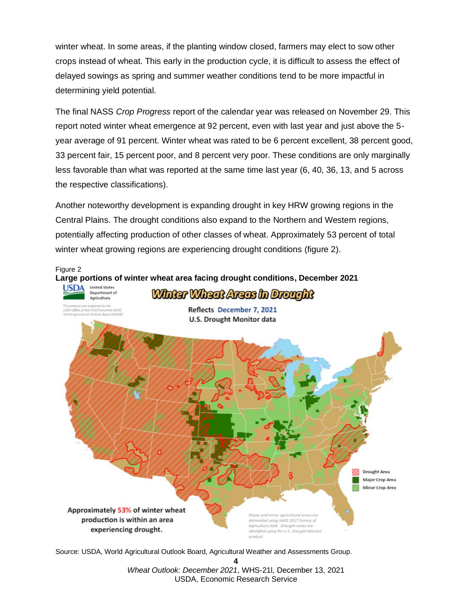winter wheat. In some areas, if the planting window closed, farmers may elect to sow other crops instead of wheat. This early in the production cycle, it is difficult to assess the effect of delayed sowings as spring and summer weather conditions tend to be more impactful in determining yield potential.

The final NASS *Crop Progress* report of the calendar year was released on November 29. This report noted winter wheat emergence at 92 percent, even with last year and just above the 5 year average of 91 percent. Winter wheat was rated to be 6 percent excellent, 38 percent good, 33 percent fair, 15 percent poor, and 8 percent very poor. These conditions are only marginally less favorable than what was reported at the same time last year (6, 40, 36, 13, and 5 across the respective classifications).

Another noteworthy development is expanding drought in key HRW growing regions in the Central Plains. The drought conditions also expand to the Northern and Western regions, potentially affecting production of other classes of wheat. Approximately 53 percent of total winter wheat growing regions are experiencing drought conditions (figure 2).



Source: USDA, World Agricultural Outlook Board, Agricultural Weather and Assessments Group.

**4** *Wheat Outlook: December 2021*, WHS-21l, December 13, 2021 USDA, Economic Research Service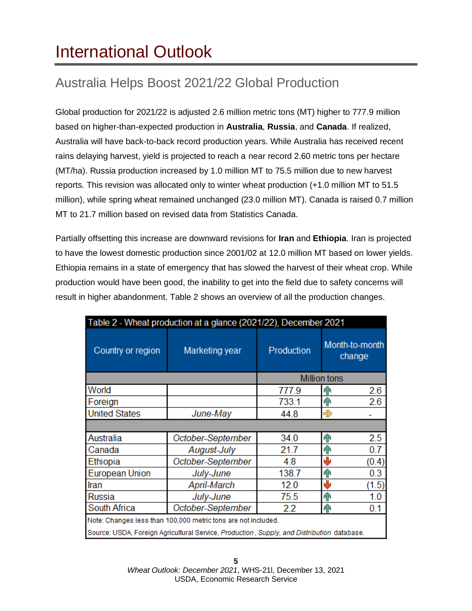# <span id="page-4-0"></span>International Outlook

## Australia Helps Boost 2021/22 Global Production

Global production for 2021/22 is adjusted 2.6 million metric tons (MT) higher to 777.9 million based on higher-than-expected production in **Australia**, **Russia**, and **Canada**. If realized, Australia will have back-to-back record production years. While Australia has received recent rains delaying harvest, yield is projected to reach a near record 2.60 metric tons per hectare (MT/ha). Russia production increased by 1.0 million MT to 75.5 million due to new harvest reports. This revision was allocated only to winter wheat production (+1.0 million MT to 51.5 million), while spring wheat remained unchanged (23.0 million MT). Canada is raised 0.7 million MT to 21.7 million based on revised data from Statistics Canada.

Partially offsetting this increase are downward revisions for **Iran** and **Ethiopia**. Iran is projected to have the lowest domestic production since 2001/02 at 12.0 million MT based on lower yields. Ethiopia remains in a state of emergency that has slowed the harvest of their wheat crop. While production would have been good, the inability to get into the field due to safety concerns will result in higher abandonment. Table 2 shows an overview of all the production changes.

| Table 2 - Wheat production at a glance (2021/22), December 2021                            |                   |              |                          |  |  |  |
|--------------------------------------------------------------------------------------------|-------------------|--------------|--------------------------|--|--|--|
| Country or region                                                                          | Marketing year    | Production   | Month-to-month<br>change |  |  |  |
|                                                                                            |                   | Million tons |                          |  |  |  |
| World                                                                                      |                   | 777.9        | 2.6<br>ብ                 |  |  |  |
| Foreign                                                                                    |                   | 733.1        | 2.6<br>ЯN                |  |  |  |
| <b>United States</b><br>June-May                                                           |                   | 44.8         | Ð                        |  |  |  |
|                                                                                            |                   |              |                          |  |  |  |
| Australia                                                                                  | October-September | 34.0         | 2.5<br>AP.               |  |  |  |
| Canada                                                                                     | August-July       | 21.7         | 0.7<br>ЯÑ                |  |  |  |
| Ethiopia                                                                                   | October-September | 4.8          | ۸Ŀ<br>(0.4)              |  |  |  |
| <b>European Union</b>                                                                      | July-June         | 138.7        | 0.3<br>ብ                 |  |  |  |
| Iran                                                                                       | April-March       | 12.0         | والح<br>(1.5)            |  |  |  |
| Russia                                                                                     | July-June         | 75.5         | 1.0<br>P P               |  |  |  |
| South Africa                                                                               | October-September | 2.2          | 0.1<br>ЯÑ                |  |  |  |
| Note: Changes less than 100,000 metric tons are not included.                              |                   |              |                          |  |  |  |
| Source: USDA, Foreign Agricultural Service, Production, Supply, and Distribution database. |                   |              |                          |  |  |  |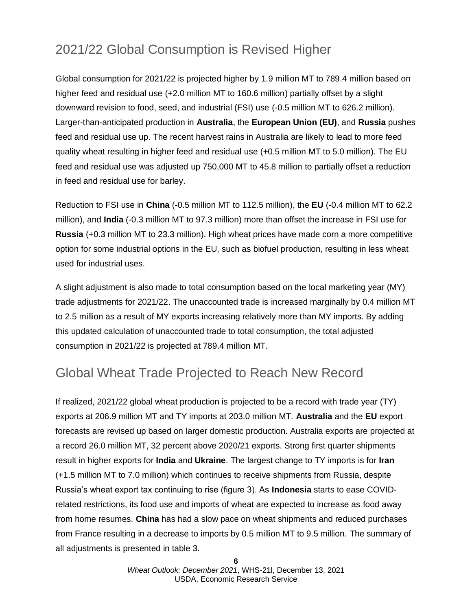## 2021/22 Global Consumption is Revised Higher

Global consumption for 2021/22 is projected higher by 1.9 million MT to 789.4 million based on higher feed and residual use (+2.0 million MT to 160.6 million) partially offset by a slight downward revision to food, seed, and industrial (FSI) use (-0.5 million MT to 626.2 million). Larger-than-anticipated production in **Australia**, the **European Union (EU)**, and **Russia** pushes feed and residual use up. The recent harvest rains in Australia are likely to lead to more feed quality wheat resulting in higher feed and residual use (+0.5 million MT to 5.0 million). The EU feed and residual use was adjusted up 750,000 MT to 45.8 million to partially offset a reduction in feed and residual use for barley.

Reduction to FSI use in **China** (-0.5 million MT to 112.5 million), the **EU** (-0.4 million MT to 62.2 million), and **India** (-0.3 million MT to 97.3 million) more than offset the increase in FSI use for **Russia** (+0.3 million MT to 23.3 million). High wheat prices have made corn a more competitive option for some industrial options in the EU, such as biofuel production, resulting in less wheat used for industrial uses.

A slight adjustment is also made to total consumption based on the local marketing year (MY) trade adjustments for 2021/22. The unaccounted trade is increased marginally by 0.4 million MT to 2.5 million as a result of MY exports increasing relatively more than MY imports. By adding this updated calculation of unaccounted trade to total consumption, the total adjusted consumption in 2021/22 is projected at 789.4 million MT.

### Global Wheat Trade Projected to Reach New Record

If realized, 2021/22 global wheat production is projected to be a record with trade year (TY) exports at 206.9 million MT and TY imports at 203.0 million MT. **Australia** and the **EU** export forecasts are revised up based on larger domestic production. Australia exports are projected at a record 26.0 million MT, 32 percent above 2020/21 exports. Strong first quarter shipments result in higher exports for **India** and **Ukraine**. The largest change to TY imports is for **Iran** (+1.5 million MT to 7.0 million) which continues to receive shipments from Russia, despite Russia's wheat export tax continuing to rise (figure 3). As **Indonesia** starts to ease COVIDrelated restrictions, its food use and imports of wheat are expected to increase as food away from home resumes. **China** has had a slow pace on wheat shipments and reduced purchases from France resulting in a decrease to imports by 0.5 million MT to 9.5 million. The summary of all adjustments is presented in table 3.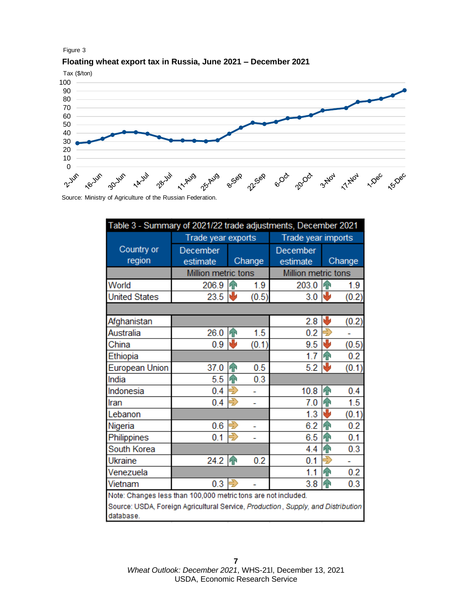

#### **Floating wheat export tax in Russia, June 2021 – December 2021**



Source: Ministry of Agriculture of the Russian Federation.

| Table 3 - Summary of 2021/22 trade adjustments, December 2021                                                                                                  |                      |                    |        |                      |                |        |  |
|----------------------------------------------------------------------------------------------------------------------------------------------------------------|----------------------|--------------------|--------|----------------------|----------------|--------|--|
|                                                                                                                                                                | Trade year exports   |                    |        | Trade year imports   |                |        |  |
| Country or<br>region                                                                                                                                           | December<br>estimate |                    | Change | December<br>estimate |                | Change |  |
|                                                                                                                                                                | Million metric tons  |                    |        | Million metric tons  |                |        |  |
| World                                                                                                                                                          | 206.9                | ИÑ                 | 1.9    | 203.0                | 4 <sup>o</sup> | 1.9    |  |
| <b>United States</b>                                                                                                                                           | 23.5                 |                    | (0.5)  | 3.0                  |                | (0.2)  |  |
|                                                                                                                                                                |                      |                    |        |                      |                |        |  |
| Afghanistan                                                                                                                                                    |                      |                    |        | 2.8                  | ₩              | (0.2)  |  |
| Australia                                                                                                                                                      | 26.0                 | h                  | 1.5    | 0.2                  | Ę              |        |  |
| China                                                                                                                                                          | 0.9                  | ۸b                 | (0.1)  | 9.5                  | J              | (0.5)  |  |
| Ethiopia                                                                                                                                                       |                      |                    |        | 1.7                  | h              | 0.2    |  |
| <b>European Union</b>                                                                                                                                          | 37.0                 | ИÑ                 | 0.5    | 5.2                  | 业              | (0.1)  |  |
| India                                                                                                                                                          | 5.5                  | h P                | 0.3    |                      |                |        |  |
| Indonesia                                                                                                                                                      | 0.4                  | 5                  |        | 10.8                 | P <sub>P</sub> | 0.4    |  |
| Iran                                                                                                                                                           | 0.4                  | 5                  |        | 7.0                  | 仆              | 1.5    |  |
| Lebanon                                                                                                                                                        |                      |                    |        | 1.3                  | 业              | (0.1)  |  |
| Nigeria                                                                                                                                                        | 0.6                  |                    |        | 6.2                  | h P            | 0.2    |  |
| Philippines                                                                                                                                                    | 0.1                  | $\vec{\mathbf{r}}$ |        | 6.5                  | h P            | 0.1    |  |
| South Korea                                                                                                                                                    |                      |                    |        | 4.4                  | hР             | 0.3    |  |
| <b>Ukraine</b>                                                                                                                                                 | 24.2                 | h                  | 0.2    | 0.1                  | €              |        |  |
| Venezuela                                                                                                                                                      |                      |                    |        | 1.1                  | $\bigcap$      | 0.2    |  |
| Vietnam                                                                                                                                                        | 0.3                  |                    |        | 3.8                  | $\bigoplus$    | 0.3    |  |
| Note: Changes less than 100,000 metric tons are not included.<br>Source: USDA, Foreign Agricultural Service, Production, Supply, and Distribution<br>database. |                      |                    |        |                      |                |        |  |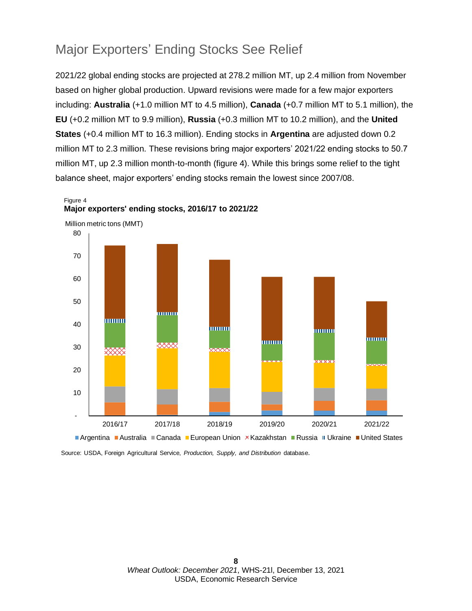### Major Exporters' Ending Stocks See Relief

2021/22 global ending stocks are projected at 278.2 million MT, up 2.4 million from November based on higher global production. Upward revisions were made for a few major exporters including: **Australia** (+1.0 million MT to 4.5 million), **Canada** (+0.7 million MT to 5.1 million), the **EU** (+0.2 million MT to 9.9 million), **Russia** (+0.3 million MT to 10.2 million), and the **United States** (+0.4 million MT to 16.3 million). Ending stocks in **Argentina** are adjusted down 0.2 million MT to 2.3 million. These revisions bring major exporters' 2021/22 ending stocks to 50.7 million MT, up 2.3 million month-to-month (figure 4). While this brings some relief to the tight balance sheet, major exporters' ending stocks remain the lowest since 2007/08.

Figure 4 **Major exporters' ending stocks, 2016/17 to 2021/22**



Million metric tons (MMT)

Source: USDA, Foreign Agricultural Service, *Production, Supply, and Distribution* database.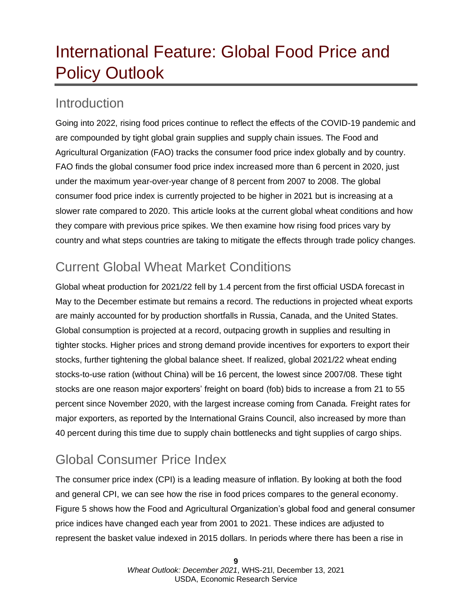# <span id="page-8-0"></span>International Feature: Global Food Price and Policy Outlook

### **Introduction**

Going into 2022, rising food prices continue to reflect the effects of the COVID-19 pandemic and are compounded by tight global grain supplies and supply chain issues. The Food and Agricultural Organization (FAO) tracks the consumer food price index globally and by country. FAO finds the global consumer food price index increased more than 6 percent in 2020, just under the maximum year-over-year change of 8 percent from 2007 to 2008. The global consumer food price index is currently projected to be higher in 2021 but is increasing at a slower rate compared to 2020. This article looks at the current global wheat conditions and how they compare with previous price spikes. We then examine how rising food prices vary by country and what steps countries are taking to mitigate the effects through trade policy changes.

## Current Global Wheat Market Conditions

Global wheat production for 2021/22 fell by 1.4 percent from the first official USDA forecast in May to the December estimate but remains a record. The reductions in projected wheat exports are mainly accounted for by production shortfalls in Russia, Canada, and the United States. Global consumption is projected at a record, outpacing growth in supplies and resulting in tighter stocks. Higher prices and strong demand provide incentives for exporters to export their stocks, further tightening the global balance sheet. If realized, global 2021/22 wheat ending stocks-to-use ration (without China) will be 16 percent, the lowest since 2007/08. These tight stocks are one reason major exporters' freight on board (fob) bids to increase a from 21 to 55 percent since November 2020, with the largest increase coming from Canada. Freight rates for major exporters, as reported by the International Grains Council, also increased by more than 40 percent during this time due to supply chain bottlenecks and tight supplies of cargo ships.

### Global Consumer Price Index

The consumer price index (CPI) is a leading measure of inflation. By looking at both the food and general CPI, we can see how the rise in food prices compares to the general economy. Figure 5 shows how the Food and Agricultural Organization's global food and general consumer price indices have changed each year from 2001 to 2021. These indices are adjusted to represent the basket value indexed in 2015 dollars. In periods where there has been a rise in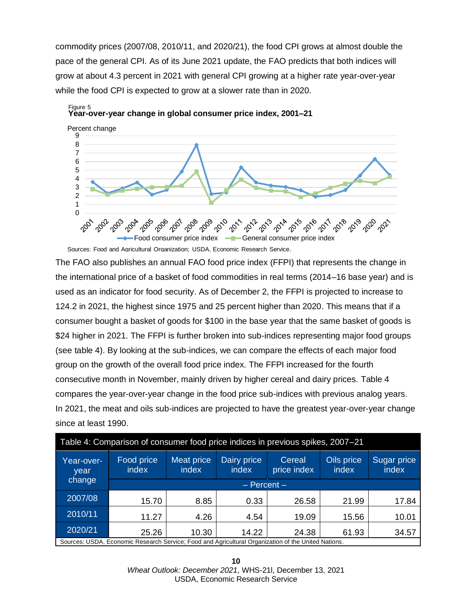commodity prices (2007/08, 2010/11, and 2020/21), the food CPI grows at almost double the pace of the general CPI. As of its June 2021 update, the FAO predicts that both indices will grow at about 4.3 percent in 2021 with general CPI growing at a higher rate year-over-year while the food CPI is expected to grow at a slower rate than in 2020.



**Year-over-year change in global consumer price index, 2001–21** Figure 5

Sources: Food and Agricultural Organization; USDA, Economic Research Service.

The FAO also publishes an annual FAO food price index (FFPI) that represents the change in the international price of a basket of food commodities in real terms (2014–16 base year) and is used as an indicator for food security. As of December 2, the FFPI is projected to increase to 124.2 in 2021, the highest since 1975 and 25 percent higher than 2020. This means that if a consumer bought a basket of goods for \$100 in the base year that the same basket of goods is \$24 higher in 2021. The FFPI is further broken into sub-indices representing major food groups (see table 4). By looking at the sub-indices, we can compare the effects of each major food group on the growth of the overall food price index. The FFPI increased for the fourth consecutive month in November, mainly driven by higher cereal and dairy prices. Table 4 compares the year-over-year change in the food price sub-indices with previous analog years. In 2021, the meat and oils sub-indices are projected to have the greatest year-over-year change since at least 1990.

| Table 4: Comparison of consumer food price indices in previous spikes, 2007-21                      |                     |                            |                      |                       |                     |                      |  |
|-----------------------------------------------------------------------------------------------------|---------------------|----------------------------|----------------------|-----------------------|---------------------|----------------------|--|
| Year-over-<br>year                                                                                  | Food price<br>index | <b>Meat price</b><br>index | Dairy price<br>index | Cereal<br>price index | Oils price<br>index | Sugar price<br>index |  |
| change                                                                                              | $-$ Percent $-$     |                            |                      |                       |                     |                      |  |
| 2007/08                                                                                             | 15.70               | 8.85                       | 0.33                 | 26.58                 | 21.99               | 17.84                |  |
| 2010/11                                                                                             | 11.27               | 4.26                       | 4.54                 | 19.09                 | 15.56               | 10.01                |  |
| 2020/21                                                                                             | 25.26               | 10.30                      | 14.22                | 24.38                 | 61.93               | 34.57                |  |
| Sources: USDA, Economic Research Service: Food and Agricultural Organization of the United Nations. |                     |                            |                      |                       |                     |                      |  |

**10** *Wheat Outlook: December 2021*, WHS-21l, December 13, 2021 USDA, Economic Research Service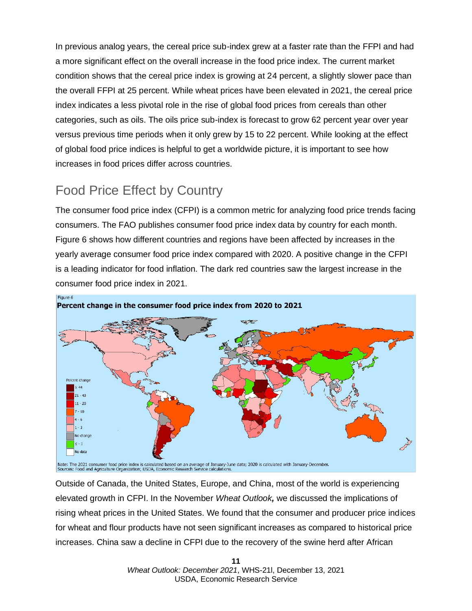In previous analog years, the cereal price sub-index grew at a faster rate than the FFPI and had a more significant effect on the overall increase in the food price index. The current market condition shows that the cereal price index is growing at 24 percent, a slightly slower pace than the overall FFPI at 25 percent. While wheat prices have been elevated in 2021, the cereal price index indicates a less pivotal role in the rise of global food prices from cereals than other categories, such as oils. The oils price sub-index is forecast to grow 62 percent year over year versus previous time periods when it only grew by 15 to 22 percent. While looking at the effect of global food price indices is helpful to get a worldwide picture, it is important to see how increases in food prices differ across countries.

## Food Price Effect by Country

The consumer food price index (CFPI) is a common metric for analyzing food price trends facing consumers. The FAO publishes consumer food price index data by country for each month. Figure 6 shows how different countries and regions have been affected by increases in the yearly average consumer food price index compared with 2020. A positive change in the CFPI is a leading indicator for food inflation. The dark red countries saw the largest increase in the consumer food price index in 2021.



Outside of Canada, the United States, Europe, and China, most of the world is experiencing elevated growth in CFPI. In the November *Wheat Outlook,* we discussed the implications of rising wheat prices in the United States. We found that the consumer and producer price indices for wheat and flour products have not seen significant increases as compared to historical price increases. China saw a decline in CFPI due to the recovery of the swine herd after African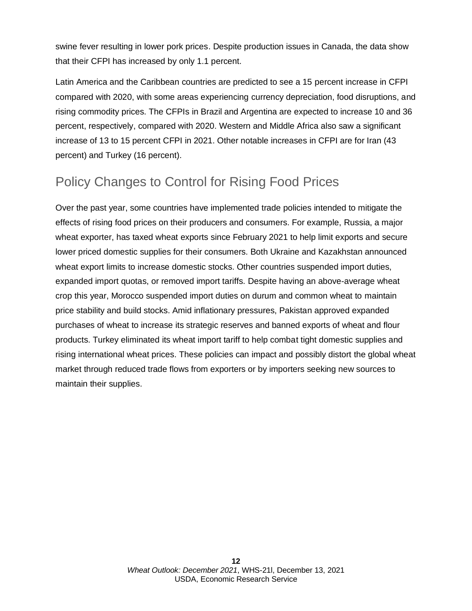swine fever resulting in lower pork prices. Despite production issues in Canada, the data show that their CFPI has increased by only 1.1 percent.

Latin America and the Caribbean countries are predicted to see a 15 percent increase in CFPI compared with 2020, with some areas experiencing currency depreciation, food disruptions, and rising commodity prices. The CFPIs in Brazil and Argentina are expected to increase 10 and 36 percent, respectively, compared with 2020. Western and Middle Africa also saw a significant increase of 13 to 15 percent CFPI in 2021. Other notable increases in CFPI are for Iran (43 percent) and Turkey (16 percent).

## Policy Changes to Control for Rising Food Prices

Over the past year, some countries have implemented trade policies intended to mitigate the effects of rising food prices on their producers and consumers. For example, Russia, a major wheat exporter, has taxed wheat exports since February 2021 to help limit exports and secure lower priced domestic supplies for their consumers. Both Ukraine and Kazakhstan announced wheat export limits to increase domestic stocks. Other countries suspended import duties, expanded import quotas, or removed import tariffs. Despite having an above-average wheat crop this year, Morocco suspended import duties on durum and common wheat to maintain price stability and build stocks. Amid inflationary pressures, Pakistan approved expanded purchases of wheat to increase its strategic reserves and banned exports of wheat and flour products. Turkey eliminated its wheat import tariff to help combat tight domestic supplies and rising international wheat prices. These policies can impact and possibly distort the global wheat market through reduced trade flows from exporters or by importers seeking new sources to maintain their supplies.